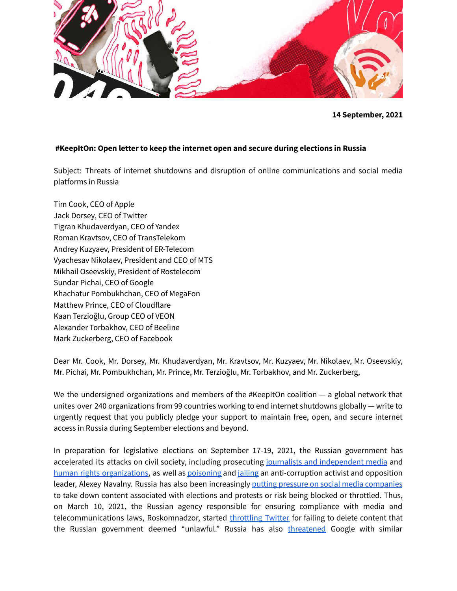

# **#KeepItOn: Open letter to keep the internet open and secure during elections in Russia**

Subject: Threats of internet shutdowns and disruption of online communications and social media platforms in Russia

Tim Cook, CEO of Apple Jack Dorsey, CEO of Twitter Tigran Khudaverdyan, CEO of Yandex Roman Kravtsov, CEO of TransTelekom Andrey Kuzyaev, President of ER-Telecom Vyachesav Nikolaev, President and CEO of МТS Mikhail Oseevskiy, President of Rostelecom Sundar Pichai, CEO of Google Khachatur Pombukhchan, CEO of MegaFon Matthew Prince, CEO of Cloudflare Kaan Terzioğlu, Group CEO of VEON Alexander Torbakhov, CEO of Beeline Mark Zuckerberg, CEO of Facebook

Dear Mr. Cook, Mr. Dorsey, Mr. Khudaverdyan, Mr. Kravtsov, Mr. Kuzyaev, Mr. Nikolaev, Mr. Oseevskiy, Mr. Pichai, Mr. Pombukhchan, Mr. Prince, Mr. Terzioğlu, Mr. Torbakhov, and Mr. Zuckerberg,

We the undersigned organizations and members of the #KeepItOn coalition  $-$  a global network that unites over 240 organizations from 99 countries working to end internet shutdowns globally — write to urgently request that you publicly pledge your support to maintain free, open, and secure internet access in Russia during September elections and beyond.

In preparation for legislative elections on September 17-19, 2021, the Russian government has accelerated its attacks on civil society, including prosecuting journalists and [independent](https://www.hrw.org/news/2021/04/29/russia-closing-down-media-freedoms) media and human rights [organizations,](https://www.reuters.com/world/europe/russian-human-rights-association-suspends-work-after-claims-prosecutors-2021-07-18/) as well as [poisoning](https://www.nytimes.com/2020/09/02/world/europe/navalny-poison-novichok.html) and [jailing](https://www.forbes.com/sites/carlieporterfield/2021/02/02/kremlin-critic-alexei-navalny-sentenced-to-nearly-three-years-in-prison/) an anti-corruption activist and opposition leader, Alexey Navalny. Russia has also been increasingly putting pressure on social media [companies](https://www.nytimes.com/2021/05/26/technology/russia-twitter-google-facebook-censorship.html) to take down content associated with elections and protests or risk being blocked or throttled. Thus, on March 10, 2021, the Russian agency responsible for ensuring compliance with media and telecommunications laws, Roskomnadzor, started [throttling](https://www.accessnow.org/russia-throttled-twitter/) Twitter for failing to delete content that the Russian government deemed "unlawful." Russia has also [threatened](https://www.bbc.com/news/technology-57241779) Google with similar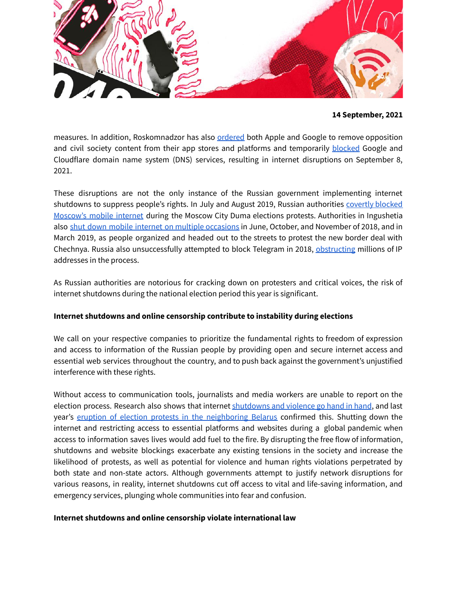

measures. In addition, Roskomnadzor has also [ordered](https://www.reuters.com/technology/russia-threatens-fine-apple-google-unless-they-remove-navalny-app-ifax-reports-2021-09-02/) both Apple and Google to remove opposition and civil society content from their app stores and platforms and temporarily [blocke](https://www.reuters.com/article/us-russia-politics-internet-idCAKBN2G61MA)d Google and Cloudflare domain name system (DNS) services, resulting in internet disruptions on September 8, 2021.

These disruptions are not the only instance of the Russian government implementing internet shutdowns to suppress people's rights. In July and August 2019, Russian authorities [covertly](https://www.forbes.com/sites/zakdoffman/2019/08/08/russian-security-agencies-secretly-shut-moscows-mobile-internet-to-control-protestors-report/?sh=3f2993d575bf) blocked [Moscow's](https://www.forbes.com/sites/zakdoffman/2019/08/08/russian-security-agencies-secretly-shut-moscows-mobile-internet-to-control-protestors-report/?sh=3f2993d575bf) mobile internet during the Moscow City Duma elections protests. Authorities in Ingushetia also shut down mobile internet on multiple [occasions](https://www.rbc.ru/society/19/11/2020/5fb628d09a7947806c120987) in June, October, and November of 2018, and in March 2019, as people organized and headed out to the streets to protest the new border deal with Chechnya. Russia also unsuccessfully attempted to block Telegram in 2018, [obstructing](https://www.nytimes.com/2018/04/18/world/europe/russia-telegram-shutdown.html) millions of IP addresses in the process.

As Russian authorities are notorious for cracking down on protesters and critical voices, the risk of internet shutdowns during the national election period this year is significant.

# **Internet shutdowns and online censorship contribute to instability during elections**

We call on your respective companies to prioritize the fundamental rights to freedom of expression and access to information of the Russian people by providing open and secure internet access and essential web services throughout the country, and to push back against the government's unjustified interference with these rights.

Without access to communication tools, journalists and media workers are unable to report on the election process. Research also shows that internet [shutdowns](http://www.anitagohdes.net/uploads/2/7/2/3/27235401/gohdes_synetworkaug14.pdf) and violence go hand in hand, and last year's eruption of election protests in the [neighboring](https://www.accessnow.org/belarusian-election-tainted-by-internet-shutdown-and-state-sponsored-violence/) Belarus confirmed this. Shutting down the internet and restricting access to essential platforms and websites during a global pandemic when access to information saves lives would add fuel to the fire. By disrupting the free flow of information, shutdowns and website blockings exacerbate any existing tensions in the society and increase the likelihood of protests, as well as potential for violence and human rights violations perpetrated by both state and non-state actors. Although governments attempt to justify network disruptions for various reasons, in reality, internet shutdowns cut off access to vital and life-saving information, and emergency services, plunging whole communities into fear and confusion.

### **Internet shutdowns and online censorship violate international law**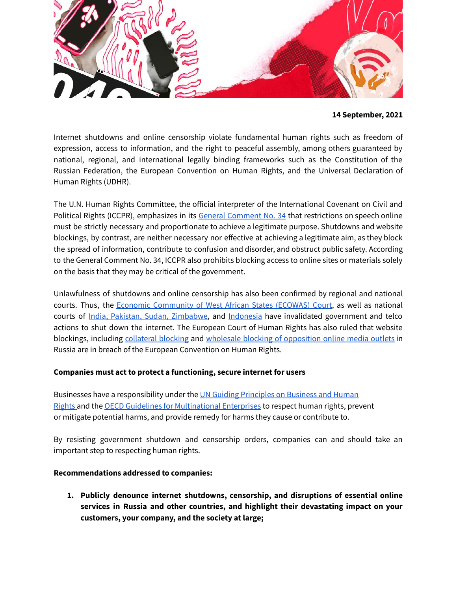

Internet shutdowns and online censorship violate fundamental human rights such as freedom of expression, access to information, and the right to peaceful assembly, among others guaranteed by national, regional, and international legally binding frameworks such as the Constitution of the Russian Federation, the European Convention on Human Rights, and the Universal Declaration of Human Rights (UDHR).

The U.N. Human Rights Committee, the official interpreter of the International Covenant on Civil and Political Rights (ICCPR), emphasizes in its General [Comment](http://www2.ohchr.org/english/bodies/hrc/docs/GC34.pdf) No. 34 that restrictions on speech online must be strictly necessary and proportionate to achieve a legitimate purpose. Shutdowns and website blockings, by contrast, are neither necessary nor effective at achieving a legitimate aim, as they block the spread of information, contribute to confusion and disorder, and obstruct public safety. According to the General Comment No. 34, ICCPR also prohibits blocking access to online sites or materials solely on the basis that they may be critical of the government.

Unlawfulness of shutdowns and online censorship has also been confirmed by regional and national courts. Thus, the Economic [Community](https://www.accessnow.org/ecowas-togo-court-decision/) of West African States (ECOWAS) Court, as well as national courts of India, Pakistan, Sudan, [Zimbabwe](https://www.accessnow.org/judges-raise-the-gavel-to-keepiton-around-the-world/), and [Indonesia](https://www.accessnow.org/court-rules-the-internet-shutdowns-in-papua-and-west-papua-are-illegal/) have invalidated government and telco actions to shut down the internet. The European Court of Human Rights has also ruled that website blockings, including [collateral](https://www.accessnow.org/collateral-website-blocking-unlawful-russia/) blocking and wholesale blocking of [opposition](https://hudoc.echr.coe.int/eng#%7B%22documentcollectionid2%22:[%22GRANDCHAMBER%22,%22CHAMBER%22],%22itemid%22:[%22001-203178%22]%7D) online media outlets in Russia are in breach of the European Convention on Human Rights.

# **Companies must act to protect a functioning, secure internet for users**

Businesses have a responsibility under the UN Guiding [Principles](https://www.ohchr.org/documents/publications/guidingprinciplesbusinesshr_en.pdf) on Business and Human [Rights](https://www.ohchr.org/documents/publications/guidingprinciplesbusinesshr_en.pdf) and the OECD Guidelines for [Multinational](https://www.oecd.org/corporate/mne/) Enterprises to respect human rights, prevent or mitigate potential harms, and provide remedy for harms they cause or contribute to.

By resisting government shutdown and censorship orders, companies can and should take an important step to respecting human rights.

# **Recommendations addressed to companies:**

**1. Publicly denounce internet shutdowns, censorship, and disruptions of essential online services in Russia and other countries, and highlight their devastating impact on your customers, your company, and the society at large;**